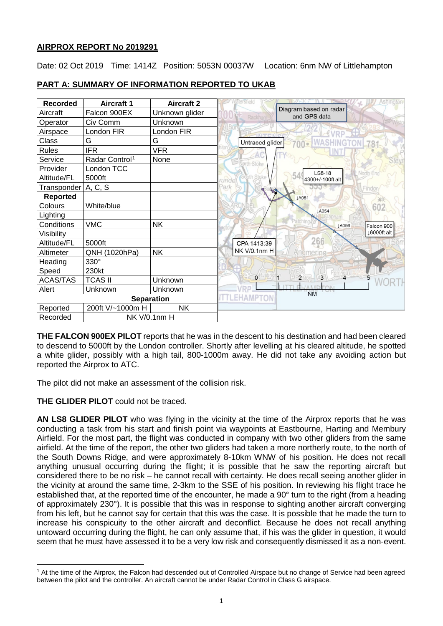## **AIRPROX REPORT No 2019291**

Date: 02 Oct 2019 Time: 1414Z Position: 5053N 00037W Location: 6nm NW of Littlehampton

| <b>Recorded</b>          | <b>Aircraft 1</b>          | <b>Aircraft 2</b> |                                                   |
|--------------------------|----------------------------|-------------------|---------------------------------------------------|
| Aircraft                 | Falcon 900EX               | Unknown glider    | Diagram based on radar<br>and GPS data<br>Rackham |
| Operator                 | Civ Comm                   | Unknown           |                                                   |
| Airspace                 | London FIR                 | London FIR        | <b>INTENIO</b>                                    |
| Class                    | G                          | G                 | Untraced glider                                   |
| Rules                    | <b>IFR</b>                 | <b>VFR</b>        |                                                   |
| Service                  | Radar Control <sup>1</sup> | None              | North Stoke                                       |
| Provider                 | London TCC                 |                   | LS8-18<br>North End                               |
| Altitude/FL              | 5000ft                     |                   | 4300+/-100ft alt<br>rundel                        |
| Transponder              | A, C, S                    |                   | Park<br>Findo<br>9 The                            |
| <b>Reported</b>          |                            |                   | LA051                                             |
| Colours                  | White/blue                 |                   | 602<br>1A054                                      |
| Lighting                 |                            |                   |                                                   |
| Conditions               | <b>VMC</b>                 | <b>NK</b>         | Patching<br>JA056<br>Falcon 900                   |
| Visibility               |                            |                   | 16000ft alt                                       |
| Altitude/FL              | 5000ft                     |                   | 266<br>CPA 1413:39                                |
| Altimeter                | QNH (1020hPa)              | <b>NK</b>         | NK V/0.1nm H<br>Angmering                         |
| Heading                  | 330°                       |                   |                                                   |
| Speed                    | 230kt                      |                   |                                                   |
| <b>ACAS/TAS</b>          | <b>TCAS II</b>             | Unknown           | $\overline{2}$<br>3<br>$\circ$                    |
| Alert                    | Unknown                    | Unknown           | <b>NM</b>                                         |
|                          |                            | <b>Separation</b> |                                                   |
| Reported                 | 200ft V/~1000m H           | <b>NK</b>         |                                                   |
| NK V/0.1nm H<br>Recorded |                            |                   |                                                   |

# **PART A: SUMMARY OF INFORMATION REPORTED TO UKAB**

**THE FALCON 900EX PILOT** reports that he was in the descent to his destination and had been cleared to descend to 5000ft by the London controller. Shortly after levelling at his cleared altitude, he spotted a white glider, possibly with a high tail, 800-1000m away. He did not take any avoiding action but reported the Airprox to ATC.

The pilot did not make an assessment of the collision risk.

## **THE GLIDER PILOT** could not be traced.

 $\overline{\phantom{a}}$ 

**AN LS8 GLIDER PILOT** who was flying in the vicinity at the time of the Airprox reports that he was conducting a task from his start and finish point via waypoints at Eastbourne, Harting and Membury Airfield. For the most part, the flight was conducted in company with two other gliders from the same airfield. At the time of the report, the other two gliders had taken a more northerly route, to the north of the South Downs Ridge, and were approximately 8-10km WNW of his position. He does not recall anything unusual occurring during the flight; it is possible that he saw the reporting aircraft but considered there to be no risk – he cannot recall with certainty. He does recall seeing another glider in the vicinity at around the same time, 2-3km to the SSE of his position. In reviewing his flight trace he established that, at the reported time of the encounter, he made a 90° turn to the right (from a heading of approximately 230°). It is possible that this was in response to sighting another aircraft converging from his left, but he cannot say for certain that this was the case. It is possible that he made the turn to increase his conspicuity to the other aircraft and deconflict. Because he does not recall anything untoward occurring during the flight, he can only assume that, if his was the glider in question, it would seem that he must have assessed it to be a very low risk and consequently dismissed it as a non-event.

<span id="page-0-0"></span><sup>1</sup> At the time of the Airprox, the Falcon had descended out of Controlled Airspace but no change of Service had been agreed between the pilot and the controller. An aircraft cannot be under Radar Control in Class G airspace.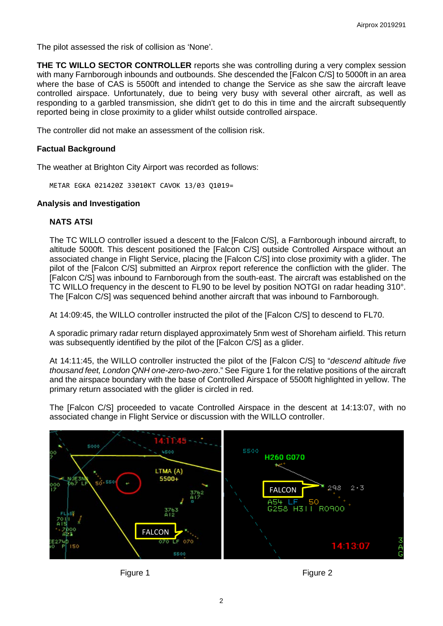The pilot assessed the risk of collision as 'None'.

**THE TC WILLO SECTOR CONTROLLER** reports she was controlling during a very complex session with many Farnborough inbounds and outbounds. She descended the [Falcon C/S] to 5000ft in an area where the base of CAS is 5500ft and intended to change the Service as she saw the aircraft leave controlled airspace. Unfortunately, due to being very busy with several other aircraft, as well as responding to a garbled transmission, she didn't get to do this in time and the aircraft subsequently reported being in close proximity to a glider whilst outside controlled airspace.

The controller did not make an assessment of the collision risk.

## **Factual Background**

The weather at Brighton City Airport was recorded as follows:

METAR EGKA 021420Z 33010KT CAVOK 13/03 Q1019=

#### **Analysis and Investigation**

#### **NATS ATSI**

The TC WILLO controller issued a descent to the [Falcon C/S], a Farnborough inbound aircraft, to altitude 5000ft. This descent positioned the [Falcon C/S] outside Controlled Airspace without an associated change in Flight Service, placing the [Falcon C/S] into close proximity with a glider. The pilot of the [Falcon C/S] submitted an Airprox report reference the confliction with the glider. The [Falcon C/S] was inbound to Farnborough from the south-east. The aircraft was established on the TC WILLO frequency in the descent to FL90 to be level by position NOTGI on radar heading 310°. The [Falcon C/S] was sequenced behind another aircraft that was inbound to Farnborough.

At 14:09:45, the WILLO controller instructed the pilot of the [Falcon C/S] to descend to FL70.

A sporadic primary radar return displayed approximately 5nm west of Shoreham airfield. This return was subsequently identified by the pilot of the [Falcon C/S] as a glider.

At 14:11:45, the WILLO controller instructed the pilot of the [Falcon C/S] to "*descend altitude five thousand feet, London QNH one-zero-two-zero*." See Figure 1 for the relative positions of the aircraft and the airspace boundary with the base of Controlled Airspace of 5500ft highlighted in yellow. The primary return associated with the glider is circled in red.

The [Falcon C/S] proceeded to vacate Controlled Airspace in the descent at 14:13:07, with no associated change in Flight Service or discussion with the WILLO controller.





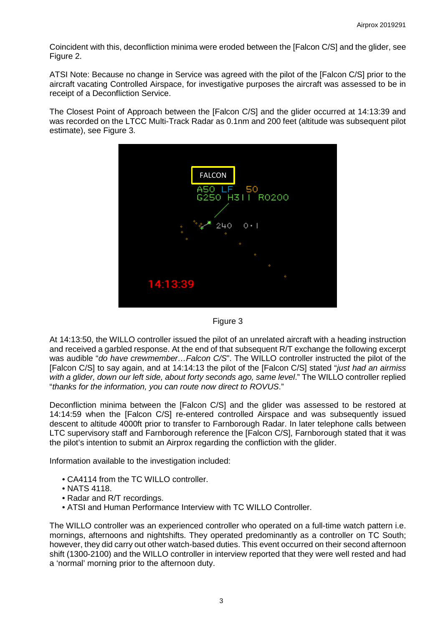Coincident with this, deconfliction minima were eroded between the [Falcon C/S] and the glider, see Figure 2.

ATSI Note: Because no change in Service was agreed with the pilot of the [Falcon C/S] prior to the aircraft vacating Controlled Airspace, for investigative purposes the aircraft was assessed to be in receipt of a Deconfliction Service.

The Closest Point of Approach between the [Falcon C/S] and the glider occurred at 14:13:39 and was recorded on the LTCC Multi-Track Radar as 0.1nm and 200 feet (altitude was subsequent pilot estimate), see Figure 3.





At 14:13:50, the WILLO controller issued the pilot of an unrelated aircraft with a heading instruction and received a garbled response. At the end of that subsequent R/T exchange the following excerpt was audible "*do have crewmember…Falcon C/S*". The WILLO controller instructed the pilot of the [Falcon C/S] to say again, and at 14:14:13 the pilot of the [Falcon C/S] stated "*just had an airmiss with a glider, down our left side, about forty seconds ago, same level*." The WILLO controller replied "*thanks for the information, you can route now direct to ROVUS*."

Deconfliction minima between the [Falcon C/S] and the glider was assessed to be restored at 14:14:59 when the [Falcon C/S] re-entered controlled Airspace and was subsequently issued descent to altitude 4000ft prior to transfer to Farnborough Radar. In later telephone calls between LTC supervisory staff and Farnborough reference the [Falcon C/S], Farnborough stated that it was the pilot's intention to submit an Airprox regarding the confliction with the glider.

Information available to the investigation included:

- CA4114 from the TC WILLO controller.
- NATS 4118.
- Radar and R/T recordings.
- ATSI and Human Performance Interview with TC WILLO Controller.

The WILLO controller was an experienced controller who operated on a full-time watch pattern i.e. mornings, afternoons and nightshifts. They operated predominantly as a controller on TC South; however, they did carry out other watch-based duties. This event occurred on their second afternoon shift (1300-2100) and the WILLO controller in interview reported that they were well rested and had a 'normal' morning prior to the afternoon duty.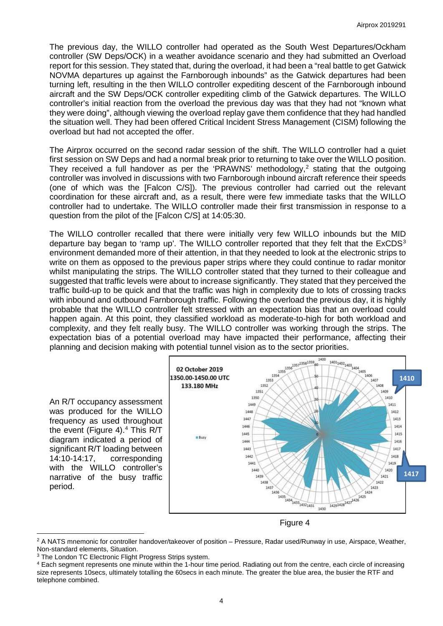The previous day, the WILLO controller had operated as the South West Departures/Ockham controller (SW Deps/OCK) in a weather avoidance scenario and they had submitted an Overload report for this session. They stated that, during the overload, it had been a "real battle to get Gatwick NOVMA departures up against the Farnborough inbounds" as the Gatwick departures had been turning left, resulting in the then WILLO controller expediting descent of the Farnborough inbound aircraft and the SW Deps/OCK controller expediting climb of the Gatwick departures. The WILLO controller's initial reaction from the overload the previous day was that they had not "known what they were doing", although viewing the overload replay gave them confidence that they had handled the situation well. They had been offered Critical Incident Stress Management (CISM) following the overload but had not accepted the offer.

The Airprox occurred on the second radar session of the shift. The WILLO controller had a quiet first session on SW Deps and had a normal break prior to returning to take over the WILLO position. They received a full handover as per the 'PRAWNS' methodology,<sup>[2](#page-3-0)</sup> stating that the outgoing controller was involved in discussions with two Farnborough inbound aircraft reference their speeds (one of which was the [Falcon C/S]). The previous controller had carried out the relevant coordination for these aircraft and, as a result, there were few immediate tasks that the WILLO controller had to undertake. The WILLO controller made their first transmission in response to a question from the pilot of the [Falcon C/S] at 14:05:30.

The WILLO controller recalled that there were initially very few WILLO inbounds but the MID departure bay began to 'ramp up'. The WILLO controller reported that they felt that the  $ExCDS<sup>3</sup>$  $ExCDS<sup>3</sup>$  $ExCDS<sup>3</sup>$ environment demanded more of their attention, in that they needed to look at the electronic strips to write on them as opposed to the previous paper strips where they could continue to radar monitor whilst manipulating the strips. The WILLO controller stated that they turned to their colleague and suggested that traffic levels were about to increase significantly. They stated that they perceived the traffic build-up to be quick and that the traffic was high in complexity due to lots of crossing tracks with inbound and outbound Farnborough traffic. Following the overload the previous day, it is highly probable that the WILLO controller felt stressed with an expectation bias that an overload could happen again. At this point, they classified workload as moderate-to-high for both workload and complexity, and they felt really busy. The WILLO controller was working through the strips. The expectation bias of a potential overload may have impacted their performance, affecting their

An R/T occupancy assessment was produced for the WILLO frequency as used throughout the event (Figure [4](#page-3-2)).<sup>4</sup> This R/T diagram indicated a period of significant R/T loading between 14:10-14:17, corresponding with the WILLO controller's narrative of the busy traffic period.

l



Figure 4

<span id="page-3-0"></span><sup>&</sup>lt;sup>2</sup> A NATS mnemonic for controller handover/takeover of position – Pressure, Radar used/Runway in use, Airspace, Weather, Non-standard elements, Situation.

<span id="page-3-1"></span><sup>&</sup>lt;sup>3</sup> The London TC Electronic Flight Progress Strips system.

<span id="page-3-2"></span><sup>4</sup> Each segment represents one minute within the 1-hour time period. Radiating out from the centre, each circle of increasing size represents 10secs, ultimately totalling the 60secs in each minute. The greater the blue area, the busier the RTF and telephone combined.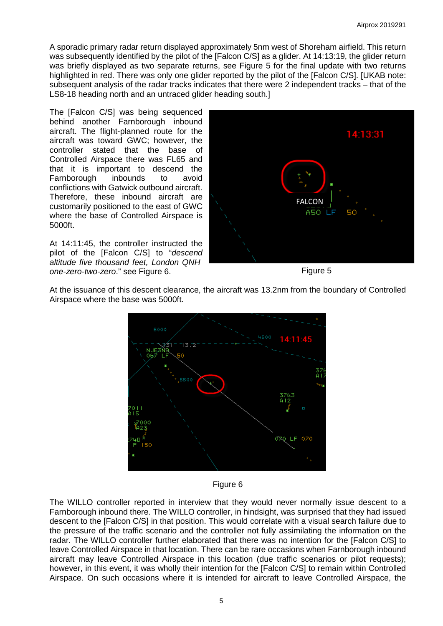A sporadic primary radar return displayed approximately 5nm west of Shoreham airfield. This return was subsequently identified by the pilot of the [Falcon C/S] as a glider. At 14:13:19, the glider return was briefly displayed as two separate returns, see Figure 5 for the final update with two returns highlighted in red. There was only one glider reported by the pilot of the [Falcon C/S]. [UKAB note: subsequent analysis of the radar tracks indicates that there were 2 independent tracks – that of the LS8-18 heading north and an untraced glider heading south.]

The [Falcon C/S] was being sequenced behind another Farnborough inbound aircraft. The flight-planned route for the aircraft was toward GWC; however, the controller stated that the base of Controlled Airspace there was FL65 and that it is important to descend the Farnborough inbounds to avoid conflictions with Gatwick outbound aircraft. Therefore, these inbound aircraft are customarily positioned to the east of GWC where the base of Controlled Airspace is 5000ft.

At 14:11:45, the controller instructed the pilot of the [Falcon C/S] to "*descend altitude five thousand feet, London QNH one-zero-two-zero*." see Figure 6.



Figure 5

At the issuance of this descent clearance, the aircraft was 13.2nm from the boundary of Controlled Airspace where the base was 5000ft.



Figure 6

The WILLO controller reported in interview that they would never normally issue descent to a Farnborough inbound there. The WILLO controller, in hindsight, was surprised that they had issued descent to the [Falcon C/S] in that position. This would correlate with a visual search failure due to the pressure of the traffic scenario and the controller not fully assimilating the information on the radar. The WILLO controller further elaborated that there was no intention for the [Falcon C/S] to leave Controlled Airspace in that location. There can be rare occasions when Farnborough inbound aircraft may leave Controlled Airspace in this location (due traffic scenarios or pilot requests); however, in this event, it was wholly their intention for the [Falcon C/S] to remain within Controlled Airspace. On such occasions where it is intended for aircraft to leave Controlled Airspace, the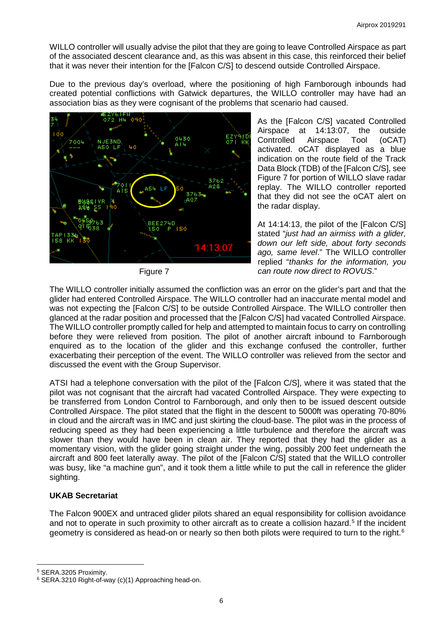WILLO controller will usually advise the pilot that they are going to leave Controlled Airspace as part of the associated descent clearance and, as this was absent in this case, this reinforced their belief that it was never their intention for the [Falcon C/S] to descend outside Controlled Airspace.

Due to the previous day's overload, where the positioning of high Farnborough inbounds had created potential conflictions with Gatwick departures, the WILLO controller may have had an association bias as they were cognisant of the problems that scenario had caused.



Figure 7

As the [Falcon C/S] vacated Controlled Airspace at 14:13:07, the outside Controlled Airspace Tool (oCAT) activated. oCAT displayed as a blue indication on the route field of the Track Data Block (TDB) of the [Falcon C/S], see Figure 7 for portion of WILLO slave radar replay. The WILLO controller reported that they did not see the oCAT alert on the radar display.

At 14:14:13, the pilot of the [Falcon C/S] stated "*just had an airmiss with a glider, down our left side, about forty seconds ago, same level*." The WILLO controller replied "*thanks for the information, you can route now direct to ROVUS*."

The WILLO controller initially assumed the confliction was an error on the glider's part and that the glider had entered Controlled Airspace. The WILLO controller had an inaccurate mental model and was not expecting the [Falcon C/S] to be outside Controlled Airspace. The WILLO controller then glanced at the radar position and processed that the [Falcon C/S] had vacated Controlled Airspace. The WILLO controller promptly called for help and attempted to maintain focus to carry on controlling before they were relieved from position. The pilot of another aircraft inbound to Farnborough enquired as to the location of the glider and this exchange confused the controller, further exacerbating their perception of the event. The WILLO controller was relieved from the sector and discussed the event with the Group Supervisor.

ATSI had a telephone conversation with the pilot of the [Falcon C/S], where it was stated that the pilot was not cognisant that the aircraft had vacated Controlled Airspace. They were expecting to be transferred from London Control to Farnborough, and only then to be issued descent outside Controlled Airspace. The pilot stated that the flight in the descent to 5000ft was operating 70-80% in cloud and the aircraft was in IMC and just skirting the cloud-base. The pilot was in the process of reducing speed as they had been experiencing a little turbulence and therefore the aircraft was slower than they would have been in clean air. They reported that they had the glider as a momentary vision, with the glider going straight under the wing, possibly 200 feet underneath the aircraft and 800 feet laterally away. The pilot of the [Falcon C/S] stated that the WILLO controller was busy, like "a machine gun", and it took them a little while to put the call in reference the glider sighting.

# **UKAB Secretariat**

The Falcon 900EX and untraced glider pilots shared an equal responsibility for collision avoidance and not to operate in such proximity to other aircraft as to create a collision hazard. [5](#page-5-0) If the incident geometry is considered as head-on or nearly so then both pilots were required to turn to the right.<sup>[6](#page-5-1)</sup>

 $\overline{\phantom{a}}$ 

<span id="page-5-0"></span><sup>5</sup> SERA.3205 Proximity.

<span id="page-5-1"></span><sup>6</sup> SERA.3210 Right-of-way (c)(1) Approaching head-on.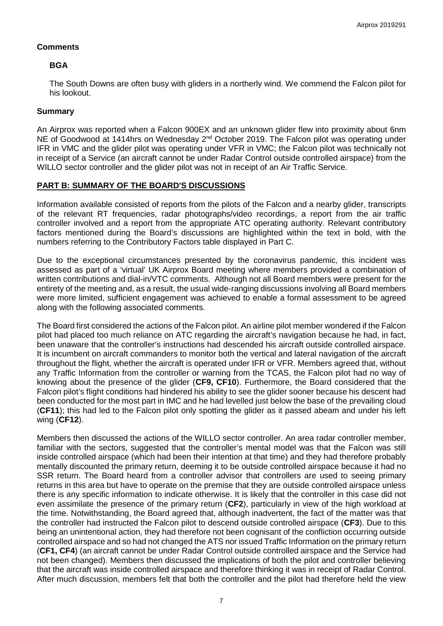## **Comments**

# **BGA**

The South Downs are often busy with gliders in a northerly wind. We commend the Falcon pilot for his lookout.

## **Summary**

An Airprox was reported when a Falcon 900EX and an unknown glider flew into proximity about 6nm NE of Goodwood at 1414hrs on Wednesday 2<sup>nd</sup> October 2019. The Falcon pilot was operating under IFR in VMC and the glider pilot was operating under VFR in VMC; the Falcon pilot was technically not in receipt of a Service (an aircraft cannot be under Radar Control outside controlled airspace) from the WILLO sector controller and the glider pilot was not in receipt of an Air Traffic Service.

# **PART B: SUMMARY OF THE BOARD'S DISCUSSIONS**

Information available consisted of reports from the pilots of the Falcon and a nearby glider, transcripts of the relevant RT frequencies, radar photographs/video recordings, a report from the air traffic controller involved and a report from the appropriate ATC operating authority. Relevant contributory factors mentioned during the Board's discussions are highlighted within the text in bold, with the numbers referring to the Contributory Factors table displayed in Part C.

Due to the exceptional circumstances presented by the coronavirus pandemic, this incident was assessed as part of a 'virtual' UK Airprox Board meeting where members provided a combination of written contributions and dial-in/VTC comments. Although not all Board members were present for the entirety of the meeting and, as a result, the usual wide-ranging discussions involving all Board members were more limited, sufficient engagement was achieved to enable a formal assessment to be agreed along with the following associated comments.

The Board first considered the actions of the Falcon pilot. An airline pilot member wondered if the Falcon pilot had placed too much reliance on ATC regarding the aircraft's navigation because he had, in fact, been unaware that the controller's instructions had descended his aircraft outside controlled airspace. It is incumbent on aircraft commanders to monitor both the vertical and lateral navigation of the aircraft throughout the flight, whether the aircraft is operated under IFR or VFR. Members agreed that, without any Traffic Information from the controller or warning from the TCAS, the Falcon pilot had no way of knowing about the presence of the glider (**CF9, CF10**). Furthermore, the Board considered that the Falcon pilot's flight conditions had hindered his ability to see the glider sooner because his descent had been conducted for the most part in IMC and he had levelled just below the base of the prevailing cloud (**CF11**); this had led to the Falcon pilot only spotting the glider as it passed abeam and under his left wing (**CF12**).

Members then discussed the actions of the WILLO sector controller. An area radar controller member, familiar with the sectors, suggested that the controller's mental model was that the Falcon was still inside controlled airspace (which had been their intention at that time) and they had therefore probably mentally discounted the primary return, deeming it to be outside controlled airspace because it had no SSR return. The Board heard from a controller advisor that controllers are used to seeing primary returns in this area but have to operate on the premise that they are outside controlled airspace unless there is any specific information to indicate otherwise. It is likely that the controller in this case did not even assimilate the presence of the primary return (**CF2**), particularly in view of the high workload at the time. Notwithstanding, the Board agreed that, although inadvertent, the fact of the matter was that the controller had instructed the Falcon pilot to descend outside controlled airspace (**CF3**). Due to this being an unintentional action, they had therefore not been cognisant of the confliction occurring outside controlled airspace and so had not changed the ATS nor issued Traffic Information on the primary return (**CF1, CF4**) (an aircraft cannot be under Radar Control outside controlled airspace and the Service had not been changed). Members then discussed the implications of both the pilot and controller believing that the aircraft was inside controlled airspace and therefore thinking it was in receipt of Radar Control. After much discussion, members felt that both the controller and the pilot had therefore held the view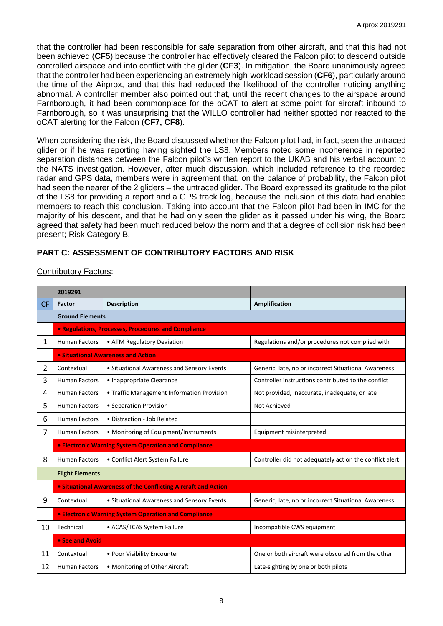that the controller had been responsible for safe separation from other aircraft, and that this had not been achieved (**CF5**) because the controller had effectively cleared the Falcon pilot to descend outside controlled airspace and into conflict with the glider (**CF3**). In mitigation, the Board unanimously agreed that the controller had been experiencing an extremely high-workload session (**CF6**), particularly around the time of the Airprox, and that this had reduced the likelihood of the controller noticing anything abnormal. A controller member also pointed out that, until the recent changes to the airspace around Farnborough, it had been commonplace for the oCAT to alert at some point for aircraft inbound to Farnborough, so it was unsurprising that the WILLO controller had neither spotted nor reacted to the oCAT alerting for the Falcon (**CF7, CF8**).

When considering the risk, the Board discussed whether the Falcon pilot had, in fact, seen the untraced glider or if he was reporting having sighted the LS8. Members noted some incoherence in reported separation distances between the Falcon pilot's written report to the UKAB and his verbal account to the NATS investigation. However, after much discussion, which included reference to the recorded radar and GPS data, members were in agreement that, on the balance of probability, the Falcon pilot had seen the nearer of the 2 gliders – the untraced glider. The Board expressed its gratitude to the pilot of the LS8 for providing a report and a GPS track log, because the inclusion of this data had enabled members to reach this conclusion. Taking into account that the Falcon pilot had been in IMC for the majority of his descent, and that he had only seen the glider as it passed under his wing, the Board agreed that safety had been much reduced below the norm and that a degree of collision risk had been present; Risk Category B.

# **PART C: ASSESSMENT OF CONTRIBUTORY FACTORS AND RISK**

| <b>Contributory Factors:</b> |  |
|------------------------------|--|
|                              |  |

|                | 2019291                                                               |                                            |                                                         |  |  |  |
|----------------|-----------------------------------------------------------------------|--------------------------------------------|---------------------------------------------------------|--|--|--|
| <b>CF</b>      | Factor                                                                | <b>Description</b>                         | Amplification                                           |  |  |  |
|                | <b>Ground Elements</b>                                                |                                            |                                                         |  |  |  |
|                | <b>• Regulations, Processes, Procedures and Compliance</b>            |                                            |                                                         |  |  |  |
| 1              | <b>Human Factors</b>                                                  | • ATM Regulatory Deviation                 | Regulations and/or procedures not complied with         |  |  |  |
|                | • Situational Awareness and Action                                    |                                            |                                                         |  |  |  |
| $\overline{2}$ | Contextual                                                            | • Situational Awareness and Sensory Events | Generic, late, no or incorrect Situational Awareness    |  |  |  |
| 3              | <b>Human Factors</b>                                                  | • Inappropriate Clearance                  | Controller instructions contributed to the conflict     |  |  |  |
| 4              | <b>Human Factors</b>                                                  | • Traffic Management Information Provision | Not provided, inaccurate, inadequate, or late           |  |  |  |
| 5              | <b>Human Factors</b>                                                  | • Separation Provision                     | Not Achieved                                            |  |  |  |
| 6              | <b>Human Factors</b>                                                  | • Distraction - Job Related                |                                                         |  |  |  |
| 7              | <b>Human Factors</b>                                                  | • Monitoring of Equipment/Instruments      | Equipment misinterpreted                                |  |  |  |
|                | <b>• Electronic Warning System Operation and Compliance</b>           |                                            |                                                         |  |  |  |
| 8              | <b>Human Factors</b>                                                  | • Conflict Alert System Failure            | Controller did not adequately act on the conflict alert |  |  |  |
|                | <b>Flight Elements</b>                                                |                                            |                                                         |  |  |  |
|                | <b>.</b> Situational Awareness of the Conflicting Aircraft and Action |                                            |                                                         |  |  |  |
| 9              | Contextual                                                            | • Situational Awareness and Sensory Events | Generic, late, no or incorrect Situational Awareness    |  |  |  |
|                | <b>• Electronic Warning System Operation and Compliance</b>           |                                            |                                                         |  |  |  |
| 10             | Technical                                                             | • ACAS/TCAS System Failure                 | Incompatible CWS equipment                              |  |  |  |
|                | • See and Avoid                                                       |                                            |                                                         |  |  |  |
| 11             | Contextual                                                            | • Poor Visibility Encounter                | One or both aircraft were obscured from the other       |  |  |  |
| 12             | <b>Human Factors</b>                                                  | • Monitoring of Other Aircraft             | Late-sighting by one or both pilots                     |  |  |  |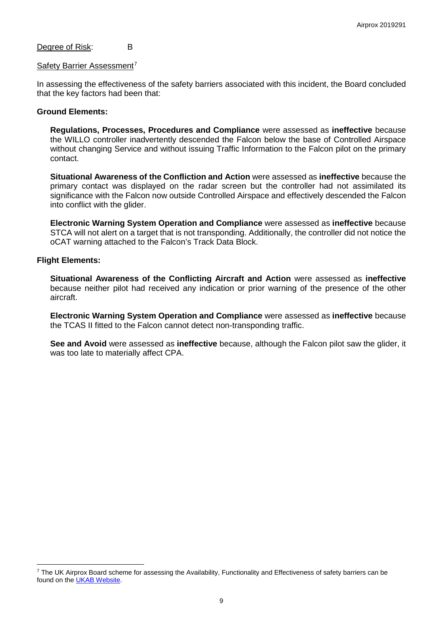Degree of Risk: B

#### Safety Barrier Assessment<sup>[7](#page-8-0)</sup>

In assessing the effectiveness of the safety barriers associated with this incident, the Board concluded that the key factors had been that:

#### **Ground Elements:**

**Regulations, Processes, Procedures and Compliance** were assessed as **ineffective** because the WILLO controller inadvertently descended the Falcon below the base of Controlled Airspace without changing Service and without issuing Traffic Information to the Falcon pilot on the primary contact.

**Situational Awareness of the Confliction and Action** were assessed as **ineffective** because the primary contact was displayed on the radar screen but the controller had not assimilated its significance with the Falcon now outside Controlled Airspace and effectively descended the Falcon into conflict with the glider.

**Electronic Warning System Operation and Compliance** were assessed as **ineffective** because STCA will not alert on a target that is not transponding. Additionally, the controller did not notice the oCAT warning attached to the Falcon's Track Data Block.

#### **Flight Elements:**

 $\overline{\phantom{a}}$ 

**Situational Awareness of the Conflicting Aircraft and Action** were assessed as **ineffective** because neither pilot had received any indication or prior warning of the presence of the other aircraft.

**Electronic Warning System Operation and Compliance** were assessed as **ineffective** because the TCAS II fitted to the Falcon cannot detect non-transponding traffic.

**See and Avoid** were assessed as **ineffective** because, although the Falcon pilot saw the glider, it was too late to materially affect CPA.

<span id="page-8-0"></span><sup>&</sup>lt;sup>7</sup> The UK Airprox Board scheme for assessing the Availability, Functionality and Effectiveness of safety barriers can be found on the [UKAB Website.](http://www.airproxboard.org.uk/Learn-more/Airprox-Barrier-Assessment/)